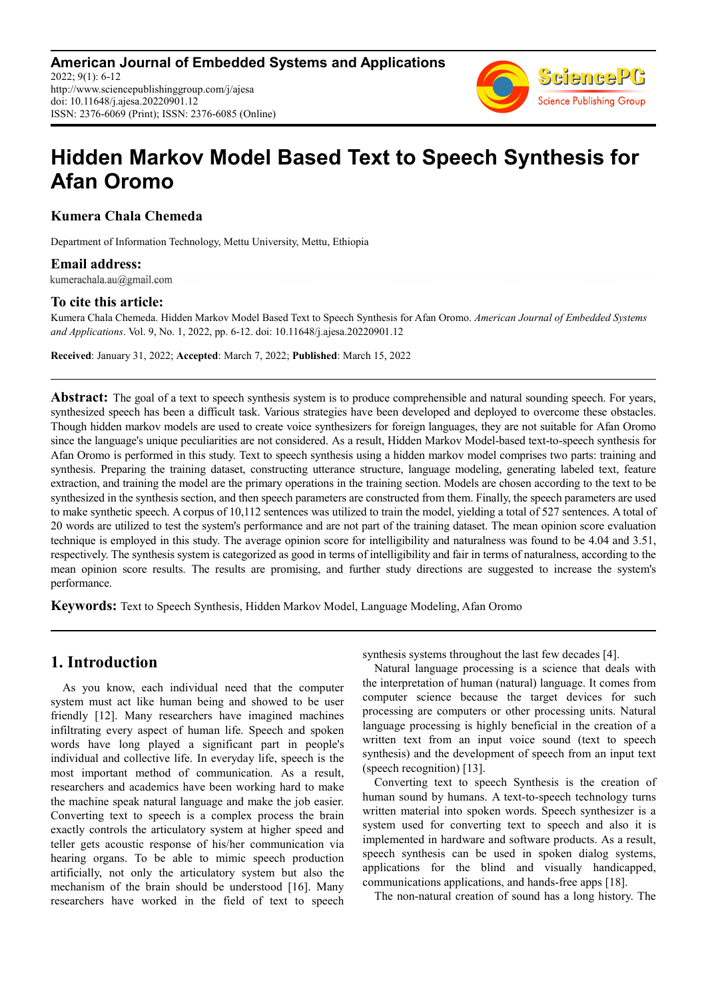**American Journal of Embedded Systems and Applications** 2022; 9(1): 6-12 http://www.sciencepublishinggroup.com/j/ajesa doi: 10.11648/j.ajesa.20220901.12 ISSN: 2376-6069 (Print); ISSN: 2376-6085 (Online)



# **Hidden Markov Model Based Text to Speech Synthesis for Afan Oromo**

**Kumera Chala Chemeda** 

Department of Information Technology, Mettu University, Mettu, Ethiopia

### **Email address:**

kumerachala.au@gmail.com

## **To cite this article:**

Kumera Chala Chemeda. Hidden Markov Model Based Text to Speech Synthesis for Afan Oromo. *American Journal of Embedded Systems and Applications*. Vol. 9, No. 1, 2022, pp. 6-12. doi: 10.11648/j.ajesa.20220901.12

**Received**: January 31, 2022; **Accepted**: March 7, 2022; **Published**: March 15, 2022

**Abstract:** The goal of a text to speech synthesis system is to produce comprehensible and natural sounding speech. For years, synthesized speech has been a difficult task. Various strategies have been developed and deployed to overcome these obstacles. Though hidden markov models are used to create voice synthesizers for foreign languages, they are not suitable for Afan Oromo since the language's unique peculiarities are not considered. As a result, Hidden Markov Model-based text-to-speech synthesis for Afan Oromo is performed in this study. Text to speech synthesis using a hidden markov model comprises two parts: training and synthesis. Preparing the training dataset, constructing utterance structure, language modeling, generating labeled text, feature extraction, and training the model are the primary operations in the training section. Models are chosen according to the text to be synthesized in the synthesis section, and then speech parameters are constructed from them. Finally, the speech parameters are used to make synthetic speech. A corpus of 10,112 sentences was utilized to train the model, yielding a total of 527 sentences. A total of 20 words are utilized to test the system's performance and are not part of the training dataset. The mean opinion score evaluation technique is employed in this study. The average opinion score for intelligibility and naturalness was found to be 4.04 and 3.51, respectively. The synthesis system is categorized as good in terms of intelligibility and fair in terms of naturalness, according to the mean opinion score results. The results are promising, and further study directions are suggested to increase the system's performance.

**Keywords:** Text to Speech Synthesis, Hidden Markov Model, Language Modeling, Afan Oromo

# **1. Introduction**

As you know, each individual need that the computer system must act like human being and showed to be user friendly [12]. Many researchers have imagined machines infiltrating every aspect of human life. Speech and spoken words have long played a significant part in people's individual and collective life. In everyday life, speech is the most important method of communication. As a result, researchers and academics have been working hard to make the machine speak natural language and make the job easier. Converting text to speech is a complex process the brain exactly controls the articulatory system at higher speed and teller gets acoustic response of his/her communication via hearing organs. To be able to mimic speech production artificially, not only the articulatory system but also the mechanism of the brain should be understood [16]. Many researchers have worked in the field of text to speech synthesis systems throughout the last few decades [4].

Natural language processing is a science that deals with the interpretation of human (natural) language. It comes from computer science because the target devices for such processing are computers or other processing units. Natural language processing is highly beneficial in the creation of a written text from an input voice sound (text to speech synthesis) and the development of speech from an input text (speech recognition) [13].

Converting text to speech Synthesis is the creation of human sound by humans. A text-to-speech technology turns written material into spoken words. Speech synthesizer is a system used for converting text to speech and also it is implemented in hardware and software products. As a result, speech synthesis can be used in spoken dialog systems, applications for the blind and visually handicapped, communications applications, and hands-free apps [18].

The non-natural creation of sound has a long history. The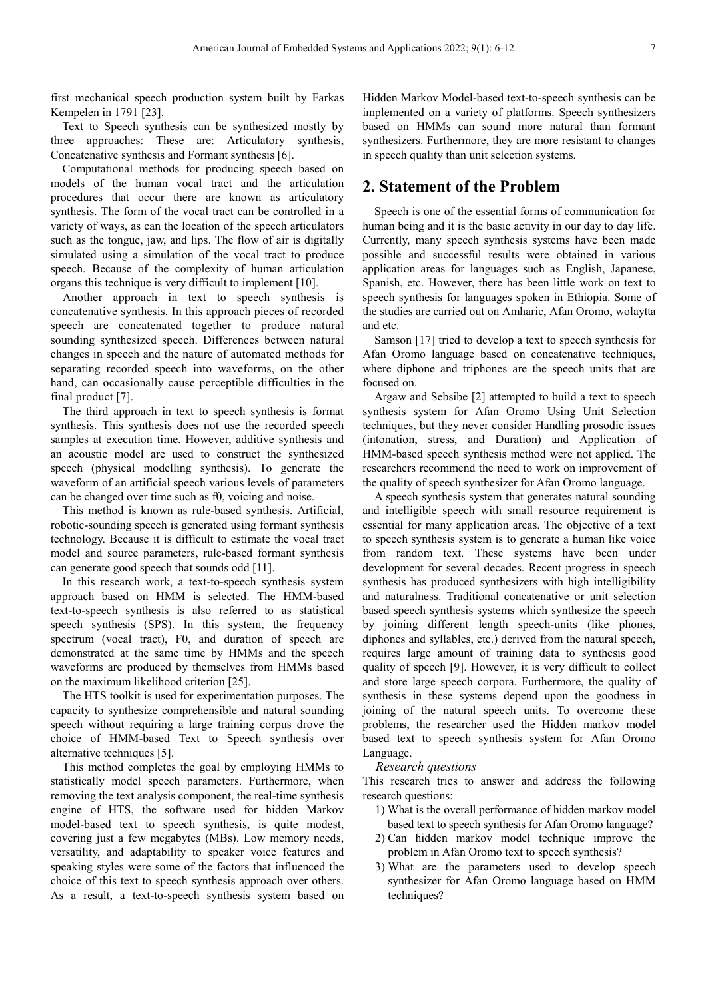first mechanical speech production system built by Farkas Kempelen in 1791 [23].

Text to Speech synthesis can be synthesized mostly by three approaches: These are: Articulatory synthesis, Concatenative synthesis and Formant synthesis [6].

Computational methods for producing speech based on models of the human vocal tract and the articulation procedures that occur there are known as articulatory synthesis. The form of the vocal tract can be controlled in a variety of ways, as can the location of the speech articulators such as the tongue, jaw, and lips. The flow of air is digitally simulated using a simulation of the vocal tract to produce speech. Because of the complexity of human articulation organs this technique is very difficult to implement [10].

Another approach in text to speech synthesis is concatenative synthesis. In this approach pieces of recorded speech are concatenated together to produce natural sounding synthesized speech. Differences between natural changes in speech and the nature of automated methods for separating recorded speech into waveforms, on the other hand, can occasionally cause perceptible difficulties in the final product [7].

The third approach in text to speech synthesis is format synthesis. This synthesis does not use the recorded speech samples at execution time. However, additive synthesis and an acoustic model are used to construct the synthesized speech (physical modelling synthesis). To generate the waveform of an artificial speech various levels of parameters can be changed over time such as f0, voicing and noise.

This method is known as rule-based synthesis. Artificial, robotic-sounding speech is generated using formant synthesis technology. Because it is difficult to estimate the vocal tract model and source parameters, rule-based formant synthesis can generate good speech that sounds odd [11].

In this research work, a text-to-speech synthesis system approach based on HMM is selected. The HMM-based text-to-speech synthesis is also referred to as statistical speech synthesis (SPS). In this system, the frequency spectrum (vocal tract), F0, and duration of speech are demonstrated at the same time by HMMs and the speech waveforms are produced by themselves from HMMs based on the maximum likelihood criterion [25].

The HTS toolkit is used for experimentation purposes. The capacity to synthesize comprehensible and natural sounding speech without requiring a large training corpus drove the choice of HMM-based Text to Speech synthesis over alternative techniques [5].

This method completes the goal by employing HMMs to statistically model speech parameters. Furthermore, when removing the text analysis component, the real-time synthesis engine of HTS, the software used for hidden Markov model-based text to speech synthesis, is quite modest, covering just a few megabytes (MBs). Low memory needs, versatility, and adaptability to speaker voice features and speaking styles were some of the factors that influenced the choice of this text to speech synthesis approach over others. As a result, a text-to-speech synthesis system based on Hidden Markov Model-based text-to-speech synthesis can be implemented on a variety of platforms. Speech synthesizers based on HMMs can sound more natural than formant synthesizers. Furthermore, they are more resistant to changes in speech quality than unit selection systems.

## **2. Statement of the Problem**

Speech is one of the essential forms of communication for human being and it is the basic activity in our day to day life. Currently, many speech synthesis systems have been made possible and successful results were obtained in various application areas for languages such as English, Japanese, Spanish, etc. However, there has been little work on text to speech synthesis for languages spoken in Ethiopia. Some of the studies are carried out on Amharic, Afan Oromo, wolaytta and etc.

Samson [17] tried to develop a text to speech synthesis for Afan Oromo language based on concatenative techniques, where diphone and triphones are the speech units that are focused on.

Argaw and Sebsibe [2] attempted to build a text to speech synthesis system for Afan Oromo Using Unit Selection techniques, but they never consider Handling prosodic issues (intonation, stress, and Duration) and Application of HMM-based speech synthesis method were not applied. The researchers recommend the need to work on improvement of the quality of speech synthesizer for Afan Oromo language.

A speech synthesis system that generates natural sounding and intelligible speech with small resource requirement is essential for many application areas. The objective of a text to speech synthesis system is to generate a human like voice from random text. These systems have been under development for several decades. Recent progress in speech synthesis has produced synthesizers with high intelligibility and naturalness. Traditional concatenative or unit selection based speech synthesis systems which synthesize the speech by joining different length speech-units (like phones, diphones and syllables, etc.) derived from the natural speech, requires large amount of training data to synthesis good quality of speech [9]. However, it is very difficult to collect and store large speech corpora. Furthermore, the quality of synthesis in these systems depend upon the goodness in joining of the natural speech units. To overcome these problems, the researcher used the Hidden markov model based text to speech synthesis system for Afan Oromo Language.

#### *Research questions*

This research tries to answer and address the following research questions:

- 1) What is the overall performance of hidden markov model based text to speech synthesis for Afan Oromo language?
- 2) Can hidden markov model technique improve the problem in Afan Oromo text to speech synthesis?
- 3) What are the parameters used to develop speech synthesizer for Afan Oromo language based on HMM techniques?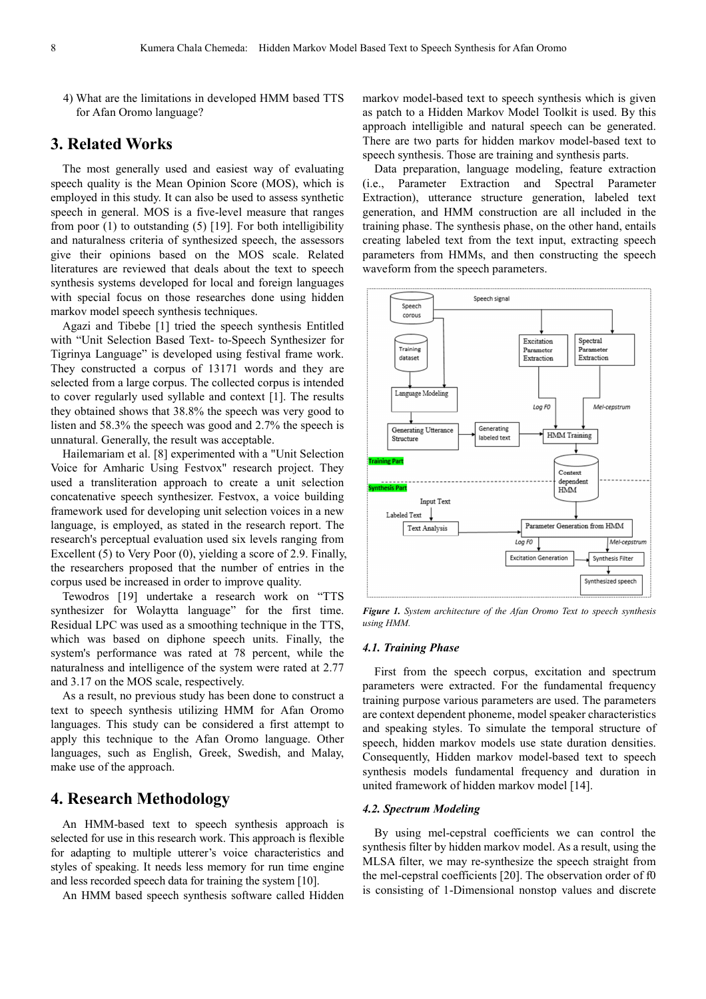4) What are the limitations in developed HMM based TTS for Afan Oromo language?

## **3. Related Works**

The most generally used and easiest way of evaluating speech quality is the Mean Opinion Score (MOS), which is employed in this study. It can also be used to assess synthetic speech in general. MOS is a five-level measure that ranges from poor (1) to outstanding (5) [19]. For both intelligibility and naturalness criteria of synthesized speech, the assessors give their opinions based on the MOS scale. Related literatures are reviewed that deals about the text to speech synthesis systems developed for local and foreign languages with special focus on those researches done using hidden markov model speech synthesis techniques.

Agazi and Tibebe [1] tried the speech synthesis Entitled with "Unit Selection Based Text- to-Speech Synthesizer for Tigrinya Language" is developed using festival frame work. They constructed a corpus of 13171 words and they are selected from a large corpus. The collected corpus is intended to cover regularly used syllable and context [1]. The results they obtained shows that 38.8% the speech was very good to listen and 58.3% the speech was good and 2.7% the speech is unnatural. Generally, the result was acceptable.

Hailemariam et al. [8] experimented with a "Unit Selection Voice for Amharic Using Festvox" research project. They used a transliteration approach to create a unit selection concatenative speech synthesizer. Festvox, a voice building framework used for developing unit selection voices in a new language, is employed, as stated in the research report. The research's perceptual evaluation used six levels ranging from Excellent (5) to Very Poor (0), yielding a score of 2.9. Finally, the researchers proposed that the number of entries in the corpus used be increased in order to improve quality.

Tewodros [19] undertake a research work on "TTS synthesizer for Wolaytta language" for the first time. Residual LPC was used as a smoothing technique in the TTS, which was based on diphone speech units. Finally, the system's performance was rated at 78 percent, while the naturalness and intelligence of the system were rated at 2.77 and 3.17 on the MOS scale, respectively.

As a result, no previous study has been done to construct a text to speech synthesis utilizing HMM for Afan Oromo languages. This study can be considered a first attempt to apply this technique to the Afan Oromo language. Other languages, such as English, Greek, Swedish, and Malay, make use of the approach.

## **4. Research Methodology**

An HMM-based text to speech synthesis approach is selected for use in this research work. This approach is flexible for adapting to multiple utterer's voice characteristics and styles of speaking. It needs less memory for run time engine and less recorded speech data for training the system [10].

An HMM based speech synthesis software called Hidden

markov model-based text to speech synthesis which is given as patch to a Hidden Markov Model Toolkit is used. By this approach intelligible and natural speech can be generated. There are two parts for hidden markov model-based text to speech synthesis. Those are training and synthesis parts.

Data preparation, language modeling, feature extraction (i.e., Parameter Extraction and Spectral Parameter Extraction), utterance structure generation, labeled text generation, and HMM construction are all included in the training phase. The synthesis phase, on the other hand, entails creating labeled text from the text input, extracting speech parameters from HMMs, and then constructing the speech waveform from the speech parameters.



*Figure 1. System architecture of the Afan Oromo Text to speech synthesis using HMM.* 

#### *4.1. Training Phase*

First from the speech corpus, excitation and spectrum parameters were extracted. For the fundamental frequency training purpose various parameters are used. The parameters are context dependent phoneme, model speaker characteristics and speaking styles. To simulate the temporal structure of speech, hidden markov models use state duration densities. Consequently, Hidden markov model-based text to speech synthesis models fundamental frequency and duration in united framework of hidden markov model [14].

#### *4.2. Spectrum Modeling*

By using mel-cepstral coefficients we can control the synthesis filter by hidden markov model. As a result, using the MLSA filter, we may re-synthesize the speech straight from the mel-cepstral coefficients [20]. The observation order of f0 is consisting of 1-Dimensional nonstop values and discrete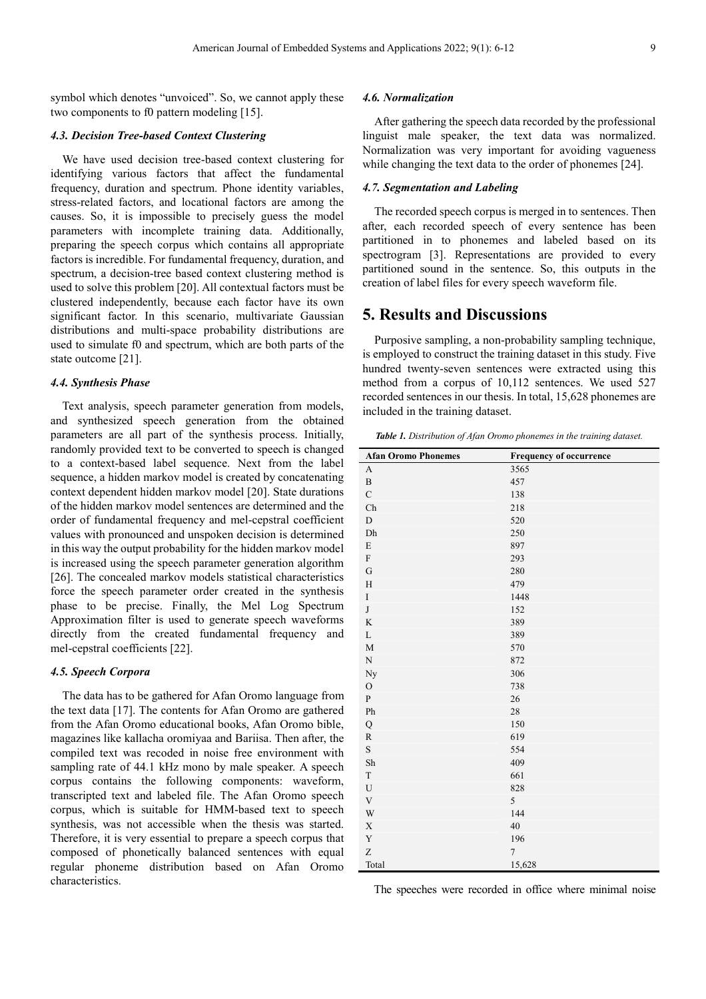symbol which denotes "unvoiced". So, we cannot apply these two components to f0 pattern modeling [15].

#### *4.3. Decision Tree-based Context Clustering*

We have used decision tree-based context clustering for identifying various factors that affect the fundamental frequency, duration and spectrum. Phone identity variables, stress-related factors, and locational factors are among the causes. So, it is impossible to precisely guess the model parameters with incomplete training data. Additionally, preparing the speech corpus which contains all appropriate factors is incredible. For fundamental frequency, duration, and spectrum, a decision-tree based context clustering method is used to solve this problem [20]. All contextual factors must be clustered independently, because each factor have its own significant factor. In this scenario, multivariate Gaussian distributions and multi-space probability distributions are used to simulate f0 and spectrum, which are both parts of the state outcome [21].

#### *4.4. Synthesis Phase*

Text analysis, speech parameter generation from models, and synthesized speech generation from the obtained parameters are all part of the synthesis process. Initially, randomly provided text to be converted to speech is changed to a context-based label sequence. Next from the label sequence, a hidden markov model is created by concatenating context dependent hidden markov model [20]. State durations of the hidden markov model sentences are determined and the order of fundamental frequency and mel-cepstral coefficient values with pronounced and unspoken decision is determined in this way the output probability for the hidden markov model is increased using the speech parameter generation algorithm [26]. The concealed markov models statistical characteristics force the speech parameter order created in the synthesis phase to be precise. Finally, the Mel Log Spectrum Approximation filter is used to generate speech waveforms directly from the created fundamental frequency and mel-cepstral coefficients [22].

#### *4.5. Speech Corpora*

The data has to be gathered for Afan Oromo language from the text data [17]. The contents for Afan Oromo are gathered from the Afan Oromo educational books, Afan Oromo bible, magazines like kallacha oromiyaa and Bariisa. Then after, the compiled text was recoded in noise free environment with sampling rate of 44.1 kHz mono by male speaker. A speech corpus contains the following components: waveform, transcripted text and labeled file. The Afan Oromo speech corpus, which is suitable for HMM-based text to speech synthesis, was not accessible when the thesis was started. Therefore, it is very essential to prepare a speech corpus that composed of phonetically balanced sentences with equal regular phoneme distribution based on Afan Oromo characteristics.

#### *4.6. Normalization*

After gathering the speech data recorded by the professional linguist male speaker, the text data was normalized. Normalization was very important for avoiding vagueness while changing the text data to the order of phonemes [24].

#### *4.7. Segmentation and Labeling*

The recorded speech corpus is merged in to sentences. Then after, each recorded speech of every sentence has been partitioned in to phonemes and labeled based on its spectrogram [3]. Representations are provided to every partitioned sound in the sentence. So, this outputs in the creation of label files for every speech waveform file.

## **5. Results and Discussions**

Purposive sampling, a non-probability sampling technique, is employed to construct the training dataset in this study. Five hundred twenty-seven sentences were extracted using this method from a corpus of 10,112 sentences. We used 527 recorded sentences in our thesis. In total, 15,628 phonemes are included in the training dataset.

*Table 1. Distribution of Afan Oromo phonemes in the training dataset.* 

| <b>Afan Oromo Phonemes</b> | <b>Frequency of occurrence</b> |
|----------------------------|--------------------------------|
| A                          | 3565                           |
| $\, {\bf B}$               | 457                            |
| $\mathbf C$                | 138                            |
| ${\rm Ch}$                 | 218                            |
| ${\rm D}$                  | 520                            |
| ${\rm Dh}$                 | 250                            |
| ${\bf E}$                  | 897                            |
| ${\bf F}$                  | 293                            |
| G                          | 280                            |
| $\rm H$                    | 479                            |
| $\rm I$                    | 1448                           |
| $\bf J$                    | 152                            |
| $\rm K$                    | 389                            |
| $\mathbf L$                | 389                            |
| $\mathbf M$                | 570                            |
| ${\bf N}$                  | 872                            |
| $_{\mathrm{Ny}}$           | 306                            |
| $\mathcal O$               | 738                            |
| ${\bf P}$                  | 26                             |
| ${\rm Ph}$                 | 28                             |
| Q                          | 150                            |
| ${\bf R}$                  | 619                            |
| $\mathbf S$                | 554                            |
| ${\rm Sh}$                 | 409                            |
| $\mathbf T$                | 661                            |
| $\mathbf U$                | 828                            |
| $\mathbf V$                | 5                              |
| W                          | 144                            |
| $\mathbf X$                | $40\,$                         |
| $\mathbf Y$                | 196                            |
| Z                          | $\overline{7}$                 |
| Total                      | 15,628                         |

The speeches were recorded in office where minimal noise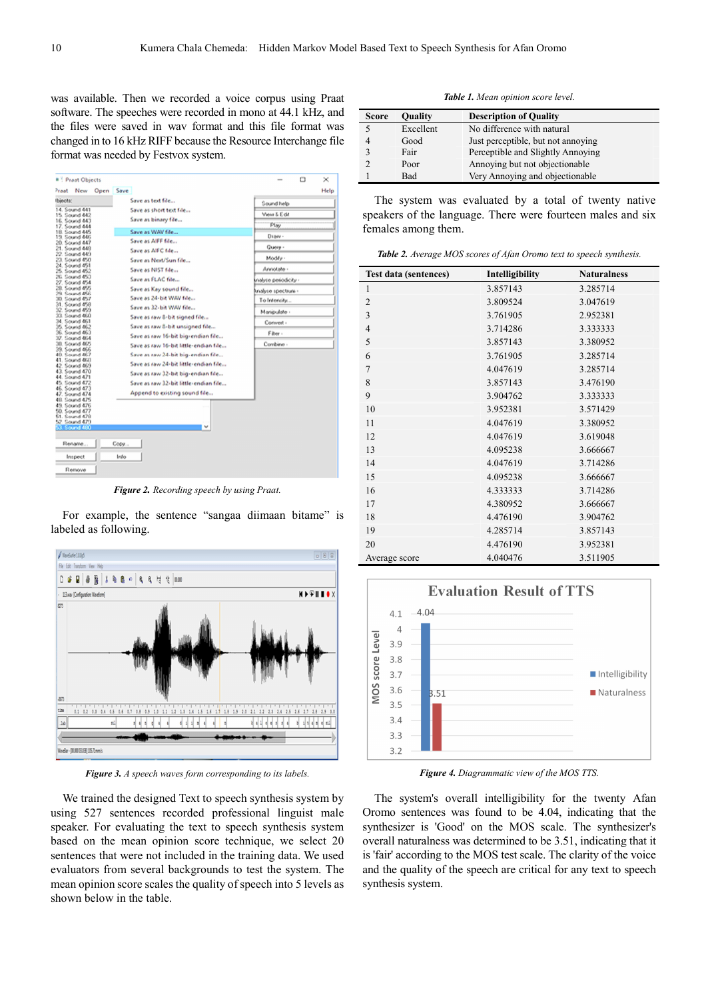was available. Then we recorded a voice corpus using Praat software. The speeches were recorded in mono at 44.1 kHz, and the files were saved in wav format and this file format was changed in to 16 kHz RIFF because the Resource Interchange file format was needed by Festvox system.



*Figure 2. Recording speech by using Praat.*

For example, the sentence "sangaa diimaan bitame" is labeled as following.



*Figure 3. A speech waves form corresponding to its labels.*

We trained the designed Text to speech synthesis system by using 527 sentences recorded professional linguist male speaker. For evaluating the text to speech synthesis system based on the mean opinion score technique, we select 20 sentences that were not included in the training data. We used evaluators from several backgrounds to test the system. The mean opinion score scales the quality of speech into 5 levels as shown below in the table.

*Table 1. Mean opinion score level.*

| <b>Score</b> | <b>Quality</b> | <b>Description of Quality</b>      |
|--------------|----------------|------------------------------------|
|              | Excellent      | No difference with natural         |
| 4            | Good           | Just perceptible, but not annoying |
| 3            | Fair           | Perceptible and Slightly Annoying  |
| 2            | Poor           | Annoying but not objectionable     |
|              | Bad            | Very Annoving and objectionable    |

The system was evaluated by a total of twenty native speakers of the language. There were fourteen males and six females among them.

*Table 2. Average MOS scores of Afan Oromo text to speech synthesis.*

| <b>Test data (sentences)</b> | Intelligibility | <b>Naturalness</b> |
|------------------------------|-----------------|--------------------|
| 1                            | 3.857143        | 3.285714           |
| $\overline{2}$               | 3.809524        | 3.047619           |
| 3                            | 3.761905        | 2.952381           |
| $\overline{4}$               | 3.714286        | 3.333333           |
| 5                            | 3.857143        | 3.380952           |
| 6                            | 3.761905        | 3.285714           |
| $\overline{7}$               | 4.047619        | 3.285714           |
| 8                            | 3.857143        | 3.476190           |
| 9                            | 3.904762        | 3.333333           |
| 10                           | 3.952381        | 3.571429           |
| 11                           | 4.047619        | 3.380952           |
| 12                           | 4.047619        | 3.619048           |
| 13                           | 4.095238        | 3.666667           |
| 14                           | 4.047619        | 3.714286           |
| 15                           | 4.095238        | 3.666667           |
| 16                           | 4.333333        | 3.714286           |
| 17                           | 4.380952        | 3.666667           |
| 18                           | 4.476190        | 3.904762           |
| 19                           | 4.285714        | 3.857143           |
| 20                           | 4.476190        | 3.952381           |
| Average score                | 4.040476        | 3.511905           |



*Figure 4. Diagrammatic view of the MOS TTS.*

The system's overall intelligibility for the twenty Afan Oromo sentences was found to be 4.04, indicating that the synthesizer is 'Good' on the MOS scale. The synthesizer's overall naturalness was determined to be 3.51, indicating that it is 'fair' according to the MOS test scale. The clarity of the voice and the quality of the speech are critical for any text to speech synthesis system.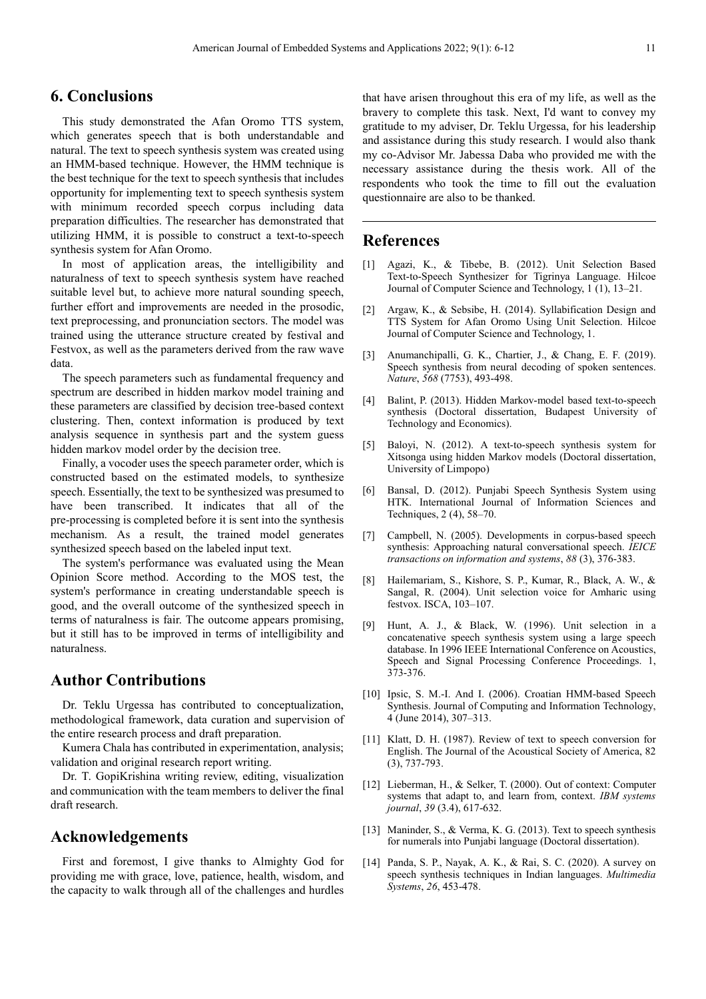## **6. Conclusions**

This study demonstrated the Afan Oromo TTS system, which generates speech that is both understandable and natural. The text to speech synthesis system was created using an HMM-based technique. However, the HMM technique is the best technique for the text to speech synthesis that includes opportunity for implementing text to speech synthesis system with minimum recorded speech corpus including data preparation difficulties. The researcher has demonstrated that utilizing HMM, it is possible to construct a text-to-speech synthesis system for Afan Oromo.

In most of application areas, the intelligibility and naturalness of text to speech synthesis system have reached suitable level but, to achieve more natural sounding speech, further effort and improvements are needed in the prosodic, text preprocessing, and pronunciation sectors. The model was trained using the utterance structure created by festival and Festvox, as well as the parameters derived from the raw wave data.

The speech parameters such as fundamental frequency and spectrum are described in hidden markov model training and these parameters are classified by decision tree-based context clustering. Then, context information is produced by text analysis sequence in synthesis part and the system guess hidden markov model order by the decision tree.

Finally, a vocoder uses the speech parameter order, which is constructed based on the estimated models, to synthesize speech. Essentially, the text to be synthesized was presumed to have been transcribed. It indicates that all of the pre-processing is completed before it is sent into the synthesis mechanism. As a result, the trained model generates synthesized speech based on the labeled input text.

The system's performance was evaluated using the Mean Opinion Score method. According to the MOS test, the system's performance in creating understandable speech is good, and the overall outcome of the synthesized speech in terms of naturalness is fair. The outcome appears promising, but it still has to be improved in terms of intelligibility and naturalness.

## **Author Contributions**

Dr. Teklu Urgessa has contributed to conceptualization, methodological framework, data curation and supervision of the entire research process and draft preparation.

Kumera Chala has contributed in experimentation, analysis; validation and original research report writing.

Dr. T. GopiKrishina writing review, editing, visualization and communication with the team members to deliver the final draft research.

## **Acknowledgements**

First and foremost, I give thanks to Almighty God for providing me with grace, love, patience, health, wisdom, and the capacity to walk through all of the challenges and hurdles that have arisen throughout this era of my life, as well as the bravery to complete this task. Next, I'd want to convey my gratitude to my adviser, Dr. Teklu Urgessa, for his leadership and assistance during this study research. I would also thank my co-Advisor Mr. Jabessa Daba who provided me with the necessary assistance during the thesis work. All of the respondents who took the time to fill out the evaluation questionnaire are also to be thanked.

## **References**

- [1] Agazi, K., & Tibebe, B. (2012). Unit Selection Based Text-to-Speech Synthesizer for Tigrinya Language. Hilcoe Journal of Computer Science and Technology, 1 (1), 13–21.
- [2] Argaw, K., & Sebsibe, H. (2014). Syllabification Design and TTS System for Afan Oromo Using Unit Selection. Hilcoe Journal of Computer Science and Technology, 1.
- [3] Anumanchipalli, G. K., Chartier, J., & Chang, E. F. (2019). Speech synthesis from neural decoding of spoken sentences. *Nature*, *568* (7753), 493-498.
- [4] Balint, P. (2013). Hidden Markov-model based text-to-speech synthesis (Doctoral dissertation, Budapest University of Technology and Economics).
- [5] Baloyi, N. (2012). A text-to-speech synthesis system for Xitsonga using hidden Markov models (Doctoral dissertation, University of Limpopo)
- [6] Bansal, D. (2012). Punjabi Speech Synthesis System using HTK. International Journal of Information Sciences and Techniques, 2 (4), 58–70.
- [7] Campbell, N. (2005). Developments in corpus-based speech synthesis: Approaching natural conversational speech. *IEICE transactions on information and systems*, *88* (3), 376-383.
- [8] Hailemariam, S., Kishore, S. P., Kumar, R., Black, A. W., & Sangal, R. (2004). Unit selection voice for Amharic using festvox. ISCA, 103–107.
- [9] Hunt, A. J., & Black, W. (1996). Unit selection in a concatenative speech synthesis system using a large speech database. In 1996 IEEE International Conference on Acoustics, Speech and Signal Processing Conference Proceedings. 1, 373-376.
- [10] Ipsic, S. M.-I. And I. (2006). Croatian HMM-based Speech Synthesis. Journal of Computing and Information Technology, 4 (June 2014), 307–313.
- [11] Klatt, D. H. (1987). Review of text to speech conversion for English. The Journal of the Acoustical Society of America, 82 (3), 737-793.
- [12] Lieberman, H., & Selker, T. (2000). Out of context: Computer systems that adapt to, and learn from, context. *IBM systems journal*, *39* (3.4), 617-632.
- [13] Maninder, S., & Verma, K. G. (2013). Text to speech synthesis for numerals into Punjabi language (Doctoral dissertation).
- [14] Panda, S. P., Nayak, A. K., & Rai, S. C. (2020). A survey on speech synthesis techniques in Indian languages. *Multimedia Systems*, *26*, 453-478.